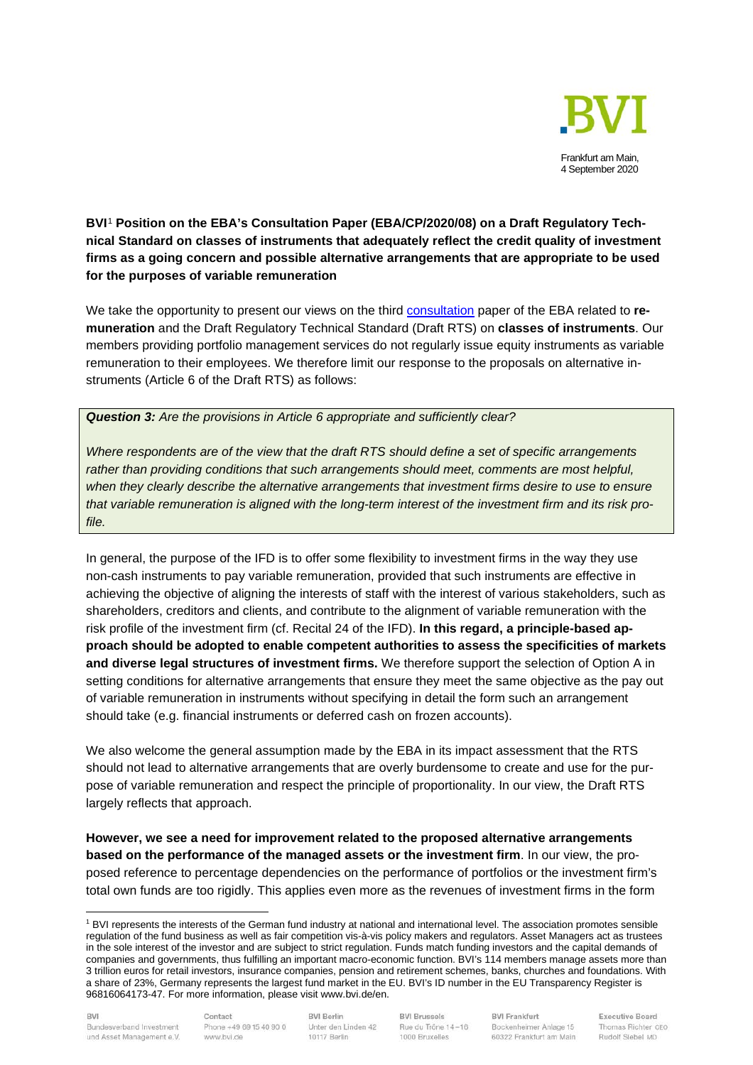

## **BVI**[1](#page-0-0) **Position on the EBA's Consultation Paper (EBA/CP/2020/08) on a Draft Regulatory Technical Standard on classes of instruments that adequately reflect the credit quality of investment firms as a going concern and possible alternative arrangements that are appropriate to be used for the purposes of variable remuneration**

We take the opportunity to present our views on the third [consultation](https://eba.europa.eu/sites/default/documents/files/document_library/Publications/Consultations/2020/%20CP%20on%20RTS%20on%20instruments%20for%20IF%20remuneration/884630/EBA-CP-2020-08%20CP%20on%20RTS%20on%20instruments%20for%20IF%20remuneration.pdf) paper of the EBA related to **remuneration** and the Draft Regulatory Technical Standard (Draft RTS) on **classes of instruments**. Our members providing portfolio management services do not regularly issue equity instruments as variable remuneration to their employees. We therefore limit our response to the proposals on alternative instruments (Article 6 of the Draft RTS) as follows:

## *Question 3: Are the provisions in Article 6 appropriate and sufficiently clear?*

*Where respondents are of the view that the draft RTS should define a set of specific arrangements rather than providing conditions that such arrangements should meet, comments are most helpful, when they clearly describe the alternative arrangements that investment firms desire to use to ensure that variable remuneration is aligned with the long-term interest of the investment firm and its risk profile.*

In general, the purpose of the IFD is to offer some flexibility to investment firms in the way they use non-cash instruments to pay variable remuneration, provided that such instruments are effective in achieving the objective of aligning the interests of staff with the interest of various stakeholders, such as shareholders, creditors and clients, and contribute to the alignment of variable remuneration with the risk profile of the investment firm (cf. Recital 24 of the IFD). **In this regard, a principle-based approach should be adopted to enable competent authorities to assess the specificities of markets and diverse legal structures of investment firms.** We therefore support the selection of Option A in setting conditions for alternative arrangements that ensure they meet the same objective as the pay out of variable remuneration in instruments without specifying in detail the form such an arrangement should take (e.g. financial instruments or deferred cash on frozen accounts).

We also welcome the general assumption made by the EBA in its impact assessment that the RTS should not lead to alternative arrangements that are overly burdensome to create and use for the purpose of variable remuneration and respect the principle of proportionality. In our view, the Draft RTS largely reflects that approach.

**However, we see a need for improvement related to the proposed alternative arrangements based on the performance of the managed assets or the investment firm**. In our view, the proposed reference to percentage dependencies on the performance of portfolios or the investment firm's total own funds are too rigidly. This applies even more as the revenues of investment firms in the form

<span id="page-0-0"></span><sup>1</sup> BVI represents the interests of the German fund industry at national and international level. The association promotes sensible regulation of the fund business as well as fair competition vis-à-vis policy makers and regulators. Asset Managers act as trustees in the sole interest of the investor and are subject to strict regulation. Funds match funding investors and the capital demands of companies and governments, thus fulfilling an important macro-economic function. BVI's 114 members manage assets more than 3 trillion euros for retail investors, insurance companies, pension and retirement schemes, banks, churches and foundations. With a share of 23%, Germany represents the largest fund market in the EU. BVI's ID number in the EU Transparency Register is 96816064173-47. For more information, please visit www.bvi.de/en.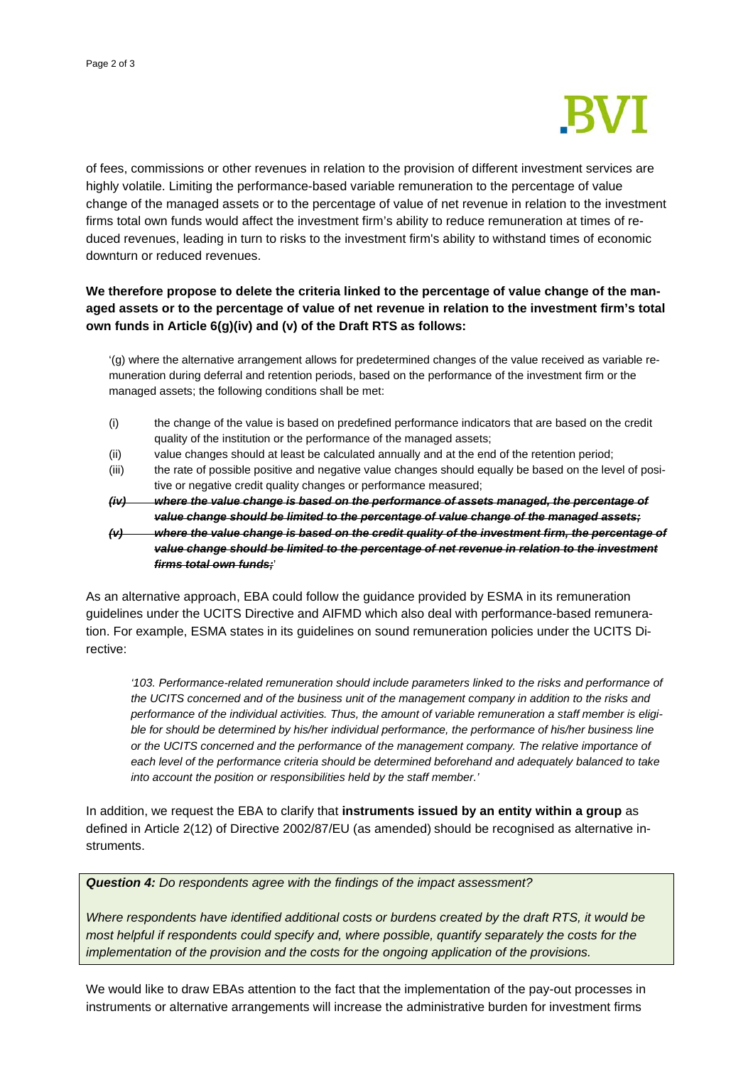

of fees, commissions or other revenues in relation to the provision of different investment services are highly volatile. Limiting the performance-based variable remuneration to the percentage of value change of the managed assets or to the percentage of value of net revenue in relation to the investment firms total own funds would affect the investment firm's ability to reduce remuneration at times of reduced revenues, leading in turn to risks to the investment firm's ability to withstand times of economic downturn or reduced revenues.

## **We therefore propose to delete the criteria linked to the percentage of value change of the managed assets or to the percentage of value of net revenue in relation to the investment firm's total own funds in Article 6(g)(iv) and (v) of the Draft RTS as follows:**

'(g) where the alternative arrangement allows for predetermined changes of the value received as variable remuneration during deferral and retention periods, based on the performance of the investment firm or the managed assets; the following conditions shall be met:

- (i) the change of the value is based on predefined performance indicators that are based on the credit quality of the institution or the performance of the managed assets;
- (ii) value changes should at least be calculated annually and at the end of the retention period;
- (iii) the rate of possible positive and negative value changes should equally be based on the level of positive or negative credit quality changes or performance measured;

*(iv) where the value change is based on the performance of assets managed, the percentage of value change should be limited to the percentage of value change of the managed assets; (v) where the value change is based on the credit quality of the investment firm, the percentage of* 

*value change should be limited to the percentage of net revenue in relation to the investment firms total own funds;*'

As an alternative approach, EBA could follow the guidance provided by ESMA in its remuneration guidelines under the UCITS Directive and AIFMD which also deal with performance-based remuneration. For example, ESMA states in its guidelines on sound remuneration policies under the UCITS Directive:

*'103. Performance-related remuneration should include parameters linked to the risks and performance of the UCITS concerned and of the business unit of the management company in addition to the risks and performance of the individual activities. Thus, the amount of variable remuneration a staff member is eligible for should be determined by his/her individual performance, the performance of his/her business line or the UCITS concerned and the performance of the management company. The relative importance of each level of the performance criteria should be determined beforehand and adequately balanced to take into account the position or responsibilities held by the staff member.'*

In addition, we request the EBA to clarify that **instruments issued by an entity within a group** as defined in Article 2(12) of Directive 2002/87/EU (as amended) should be recognised as alternative instruments.

## *Question 4: Do respondents agree with the findings of the impact assessment?*

*Where respondents have identified additional costs or burdens created by the draft RTS, it would be most helpful if respondents could specify and, where possible, quantify separately the costs for the implementation of the provision and the costs for the ongoing application of the provisions.*

We would like to draw EBAs attention to the fact that the implementation of the pay-out processes in instruments or alternative arrangements will increase the administrative burden for investment firms